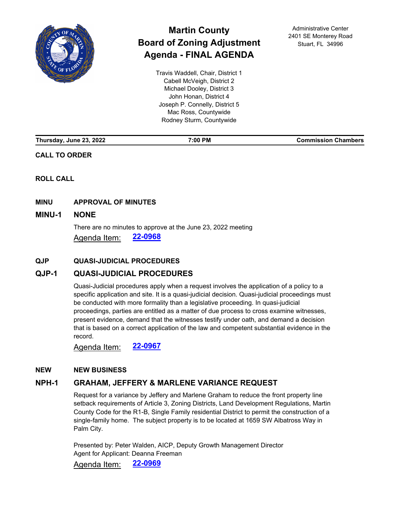

# **Martin County Board of Zoning Adjustment Agenda - FINAL AGENDA**

Travis Waddell, Chair, District 1 Cabell McVeigh, District 2 Michael Dooley, District 3 John Honan, District 4 Joseph P. Connelly, District 5 Mac Ross, Countywide Rodney Sturm, Countywide

Administrative Center 2401 SE Monterey Road Stuart, FL 34996

| Thursday, June 23, 2022 | 7:00 PM | <b>Commission Chambers</b> |
|-------------------------|---------|----------------------------|
|                         |         |                            |

## **CALL TO ORDER**

**ROLL CALL**

## **MINU APPROVAL OF MINUTES**

## **MINU-1 [NONE](http://martin.legistar.com/gateway.aspx?m=l&id=/matter.aspx?key=6329)**

There are no minutes to approve at the June 23, 2022 meeting Agenda Item: **[22-0968](http://martin.legistar.com/gateway.aspx?m=l&id=/matter.aspx?key=6329)**

## **QJP QUASI-JUDICIAL PROCEDURES**

# **QJP-1 [QUASI-JUDICIAL PROCEDURES](http://martin.legistar.com/gateway.aspx?m=l&id=/matter.aspx?key=6328)**

Quasi-Judicial procedures apply when a request involves the application of a policy to a specific application and site. It is a quasi-judicial decision. Quasi-judicial proceedings must be conducted with more formality than a legislative proceeding. In quasi-judicial proceedings, parties are entitled as a matter of due process to cross examine witnesses, present evidence, demand that the witnesses testify under oath, and demand a decision that is based on a correct application of the law and competent substantial evidence in the record.

Agenda Item: **[22-0967](http://martin.legistar.com/gateway.aspx?m=l&id=/matter.aspx?key=6328)**

## **NEW NEW BUSINESS**

# **NPH-1 [GRAHAM, JEFFERY & MARLENE VARIANCE REQUEST](http://martin.legistar.com/gateway.aspx?m=l&id=/matter.aspx?key=6330)**

Request for a variance by Jeffery and Marlene Graham to reduce the front property line setback requirements of Article 3, Zoning Districts, Land Development Regulations, Martin County Code for the R1-B, Single Family residential District to permit the construction of a single-family home. The subject property is to be located at 1659 SW Albatross Way in Palm City.

Presented by: Peter Walden, AICP, Deputy Growth Management Director Agent for Applicant: Deanna Freeman

Agenda Item: **[22-0969](http://martin.legistar.com/gateway.aspx?m=l&id=/matter.aspx?key=6330)**